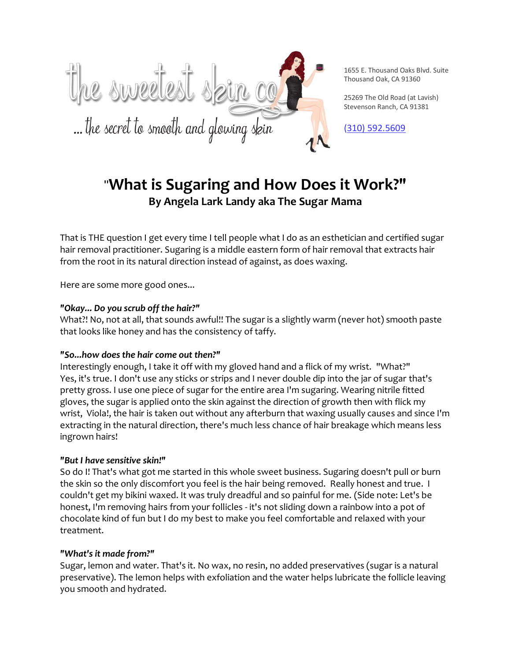

1655 E. Thousand Oaks Blvd. Suite Thousand Oak, CA 91360

25269 The Old Road (at Lavish) Stevenson Ranch, CA 91381

[\(3](http://www.thesweetestskinco.com)10) [592.5609](tel:310.592.5609)

# "**What is Sugaring and How Does it Work?" By Angela Lark Landy aka The Sugar Mama**

That is THE question I get every time I tell people what I do as an esthetician and certified sugar hair removal practitioner. Sugaring is a middle eastern form of hair removal that extracts hair from the root in its natural direction instead of against, as does waxing.

Here are some more good ones...

# *"Okay... Do you scrub off the hair?"*

What?! No, not at all, that sounds awful!! The sugar is a slightly warm (never hot) smooth paste that looks like honey and has the consistency of taffy.

# *"So...how does the hair come out then?"*

Interestingly enough, I take it off with my gloved hand and a flick of my wrist. "What?" Yes, it's true. I don't use any sticks or strips and I never double dip into the jar of sugar that's pretty gross. I use one piece of sugar for the entire area I'm sugaring. Wearing nitrile fitted gloves, the sugar is applied onto the skin against the direction of growth then with flick my wrist, Viola!, the hair is taken out without any afterburn that waxing usually causes and since I'm extracting in the natural direction, there's much less chance of hair breakage which means less ingrown hairs!

# *"But I have sensitive skin!"*

So do I! That's what got me started in this whole sweet business. Sugaring doesn't pull or burn the skin so the only discomfort you feel is the hair being removed. Really honest and true. I couldn't get my bikini waxed. It was truly dreadful and so painful for me. (Side note: Let's be honest, I'm removing hairs from your follicles - it's not sliding down a rainbow into a pot of chocolate kind of fun but I do my best to make you feel comfortable and relaxed with your treatment.

# *"What's it made from?"*

Sugar, lemon and water. That's it. No wax, no resin, no added preservatives (sugar is a natural preservative). The lemon helps with exfoliation and the water helps lubricate the follicle leaving you smooth and hydrated.